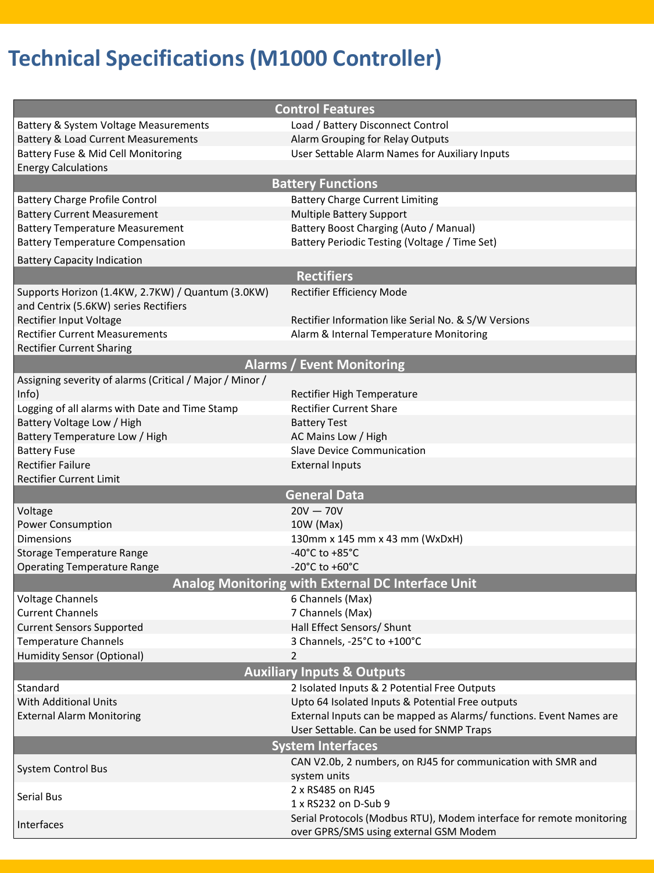# **Technical Specifications (M1000 Controller)**

|                                                                                            | <b>Control Features</b>                                              |  |
|--------------------------------------------------------------------------------------------|----------------------------------------------------------------------|--|
| Battery & System Voltage Measurements                                                      | Load / Battery Disconnect Control                                    |  |
| <b>Battery &amp; Load Current Measurements</b>                                             | Alarm Grouping for Relay Outputs                                     |  |
| Battery Fuse & Mid Cell Monitoring                                                         | User Settable Alarm Names for Auxiliary Inputs                       |  |
| <b>Energy Calculations</b>                                                                 |                                                                      |  |
|                                                                                            | <b>Battery Functions</b>                                             |  |
| <b>Battery Charge Profile Control</b>                                                      | <b>Battery Charge Current Limiting</b>                               |  |
| <b>Battery Current Measurement</b>                                                         | <b>Multiple Battery Support</b>                                      |  |
| <b>Battery Temperature Measurement</b>                                                     | Battery Boost Charging (Auto / Manual)                               |  |
| <b>Battery Temperature Compensation</b>                                                    | Battery Periodic Testing (Voltage / Time Set)                        |  |
|                                                                                            |                                                                      |  |
| <b>Battery Capacity Indication</b>                                                         |                                                                      |  |
|                                                                                            | <b>Rectifiers</b>                                                    |  |
| Supports Horizon (1.4KW, 2.7KW) / Quantum (3.0KW)<br>and Centrix (5.6KW) series Rectifiers | Rectifier Efficiency Mode                                            |  |
| Rectifier Input Voltage                                                                    | Rectifier Information like Serial No. & S/W Versions                 |  |
| <b>Rectifier Current Measurements</b>                                                      | Alarm & Internal Temperature Monitoring                              |  |
| <b>Rectifier Current Sharing</b>                                                           |                                                                      |  |
|                                                                                            | <b>Alarms / Event Monitoring</b>                                     |  |
|                                                                                            |                                                                      |  |
| Assigning severity of alarms (Critical / Major / Minor /<br>Info)                          | Rectifier High Temperature                                           |  |
| Logging of all alarms with Date and Time Stamp                                             | <b>Rectifier Current Share</b>                                       |  |
| Battery Voltage Low / High                                                                 |                                                                      |  |
| Battery Temperature Low / High                                                             | <b>Battery Test</b><br>AC Mains Low / High                           |  |
| <b>Battery Fuse</b>                                                                        | <b>Slave Device Communication</b>                                    |  |
| <b>Rectifier Failure</b>                                                                   | <b>External Inputs</b>                                               |  |
| <b>Rectifier Current Limit</b>                                                             |                                                                      |  |
|                                                                                            | <b>General Data</b>                                                  |  |
| Voltage                                                                                    | $20V - 70V$                                                          |  |
| Power Consumption                                                                          | 10W (Max)                                                            |  |
| Dimensions                                                                                 | 130mm x 145 mm x 43 mm (WxDxH)                                       |  |
| <b>Storage Temperature Range</b>                                                           | -40°C to +85°C                                                       |  |
| <b>Operating Temperature Range</b>                                                         | -20 $^{\circ}$ C to +60 $^{\circ}$ C                                 |  |
|                                                                                            | Analog Monitoring with External DC Interface Unit                    |  |
| <b>Voltage Channels</b>                                                                    | 6 Channels (Max)                                                     |  |
| <b>Current Channels</b>                                                                    | 7 Channels (Max)                                                     |  |
| <b>Current Sensors Supported</b>                                                           | Hall Effect Sensors/ Shunt                                           |  |
| Temperature Channels                                                                       | 3 Channels, -25°C to +100°C                                          |  |
| <b>Humidity Sensor (Optional)</b>                                                          | $\mathcal{P}$                                                        |  |
|                                                                                            | <b>Auxiliary Inputs &amp; Outputs</b>                                |  |
| Standard                                                                                   | 2 Isolated Inputs & 2 Potential Free Outputs                         |  |
| <b>With Additional Units</b>                                                               | Upto 64 Isolated Inputs & Potential Free outputs                     |  |
| <b>External Alarm Monitoring</b>                                                           | External Inputs can be mapped as Alarms/ functions. Event Names are  |  |
|                                                                                            | User Settable. Can be used for SNMP Traps                            |  |
| <b>System Interfaces</b>                                                                   |                                                                      |  |
|                                                                                            | CAN V2.0b, 2 numbers, on RJ45 for communication with SMR and         |  |
| System Control Bus                                                                         | system units                                                         |  |
|                                                                                            | 2 x RS485 on RJ45                                                    |  |
| <b>Serial Bus</b>                                                                          | 1 x RS232 on D-Sub 9                                                 |  |
|                                                                                            | Serial Protocols (Modbus RTU), Modem interface for remote monitoring |  |
| Interfaces                                                                                 | over GPRS/SMS using external GSM Modem                               |  |
|                                                                                            |                                                                      |  |